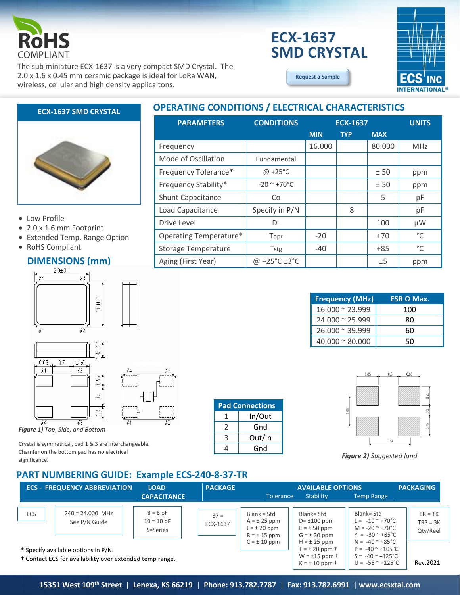

# **ECX-1637 SMD CRYSTAL**

**[Request a Sample](http://ecsxtalportal.com/samplepilot/samplerequest.php)**



The sub miniature ECX-1637 is a very compact SMD Crystal. The 2.0 x 1.6 x 0.45 mm ceramic package is ideal for LoRa WAN, wireless, cellular and high density applicaitons.

#### **ECX-1637 SMD CRYSTAL**



#### • Low Profile

- 2.0 x 1.6 mm Footprint
- Extended Temp. Range Option
- RoHS Compliant

# **DIMENSIONS (mm)**





*Figure 1) Top, Side, and Bottom*

Crystal is symmetrical, pad 1 & 3 are interchangeable. Chamfer on the bottom pad has no electrical significance.

### **PART NUMBERING GUIDE: Example ECS-240-8-37-TR**

| PANT NUMBENING GUIDE. EXAMPLE ECS-240-6-57-TN                                                              |                                     |                                        |                     |                                                                                                            |                                                                                                                              |                                                                                                                  |                                     |
|------------------------------------------------------------------------------------------------------------|-------------------------------------|----------------------------------------|---------------------|------------------------------------------------------------------------------------------------------------|------------------------------------------------------------------------------------------------------------------------------|------------------------------------------------------------------------------------------------------------------|-------------------------------------|
|                                                                                                            | <b>ECS - FREQUENCY ABBREVIATION</b> | <b>LOAD</b>                            | <b>PACKAGE</b>      |                                                                                                            | <b>AVAILABLE OPTIONS</b>                                                                                                     |                                                                                                                  | <b>PACKAGING</b>                    |
|                                                                                                            |                                     | <b>CAPACITANCE</b>                     |                     | Tolerance                                                                                                  | <b>Stability</b>                                                                                                             | <b>Temp Range</b>                                                                                                |                                     |
| <b>ECS</b>                                                                                                 | $240 = 24.000$ MHz<br>See P/N Guide | $8 = 8 pF$<br>$10 = 10 pF$<br>S=Series | $-37 =$<br>ECX-1637 | $Blank = Std$<br>$A = \pm 25$ ppm<br>$J = \pm 20$ ppm<br>$R = \pm 15$ ppm                                  | Blank= Std<br>$D = \pm 100$ ppm<br>$E = \pm 50$ ppm<br>$G = \pm 30$ ppm                                                      | Blank= Std<br>$L = -10^{\circ} + 70^{\circ}C$<br>$M = -20$ $\sim$ +70 $^{\circ}$ C<br>$Y = -30$ $\approx$ +85 °C | $TR = 1K$<br>$TR3 = 3K$<br>Qty/Reel |
| * Specify available options in P/N.<br><sup>†</sup> Contact ECS for availability over extended temp range. |                                     |                                        | $C = \pm 10$ ppm    | $H = \pm 25$ ppm<br>$T = \pm 20$ ppm $\dagger$<br>$W = \pm 15$ ppm $\dagger$<br>$K = \pm 10$ ppm $\dagger$ | $N = -40^{\circ} + 85^{\circ}$ C<br>$P = -40$ $^{\circ}$ +105 °C<br>$S = -40$ $\sim$ +125 °C<br>$U = -55$ $^{\circ}$ +125 °C | Rev.2021                                                                                                         |                                     |

**Pad Connections** 1 In/Out  $2 \mid$  Gnd 3 Out/In 4 Gnd

### **OPERATING CONDITIONS / ELECTRICAL CHARACTERISTICS**

| <b>PARAMETERS</b>             | <b>CONDITIONS</b>                  | <b>ECX-1637</b> |            |            | <b>UNITS</b> |
|-------------------------------|------------------------------------|-----------------|------------|------------|--------------|
|                               |                                    | <b>MIN</b>      | <b>TYP</b> | <b>MAX</b> |              |
| Frequency                     |                                    | 16.000          |            | 80.000     | <b>MHz</b>   |
| Mode of Oscillation           | Fundamental                        |                 |            |            |              |
| Frequency Tolerance*          | $\omega$ +25°C                     |                 |            | ±50        | ppm          |
| Frequency Stability*          | $-20$ ~ $+70$ °C                   |                 |            | ±50        | ppm          |
| <b>Shunt Capacitance</b>      | Co                                 |                 |            | 5          | рF           |
| Load Capacitance              | Specify in P/N                     |                 | 8          |            | рF           |
| Drive Level                   | DL                                 |                 |            | 100        | μW           |
| <b>Operating Temperature*</b> | Topr                               | $-20$           |            | $+70$      | °C           |
| <b>Storage Temperature</b>    | Tstg                               | $-40$           |            | $+85$      | $^{\circ}$ C |
| Aging (First Year)            | @ +25 $^{\circ}$ C ±3 $^{\circ}$ C |                 |            | ±5         | ppm          |

| <b>Frequency (MHz)</b>  | <b>ESR Ω Max.</b> |
|-------------------------|-------------------|
| $16.000 \approx 23.999$ | 100               |
| $24.000 \approx 25.999$ | 80                |
| $26.000 \approx 39.999$ | 60                |
| $40.000 \approx 80.000$ |                   |



*Figure 2) Suggested land*